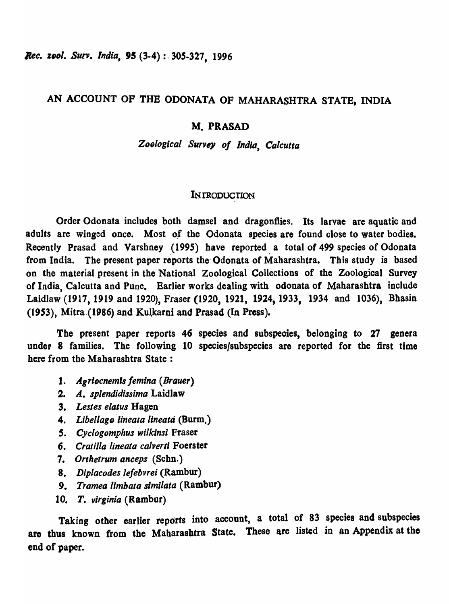*Rec. zool. Surv. India,* 95 (3-4) : 305-327, 1996

# AN ACCOUNT OF THE ODONATA OF MAHARASHTRA STATE, INDIA

# M. PRASAD

*ZOfJloglcal Survey of India, Calcutta* 

# **INTRODUCTION**

Order Odonata includes both damsel and dragonflies. Its larvae are aquatic and adults are winged once. Most of the Odonata species are found close to water bodies. Recently Prasad and Varshney (1995) have reported a total of 499 species of Odonata from India. The present paper reports the" Odonata of Maharashtra. This study is based on the material present in the National Zoological Collections of the Zoological, Survey of India, Calcutta and Pune. Earlier works dealing with odonata of Maharashtra include Laidlaw (1917, 1919 and 1920), Fraser (1920, 1921, 1924, 1933, 1934 and 1036), Bhasin (1953), Mitra (1986) and Kulkarni and Prasad (In Press).

The present paper reports 46 species and subspecies, belonging to 27 genera under 8 families. The following 10 species/subspecies are reported for the first time here from the Maharashtra State:

- 1. Agriocnemis femina (Brauer)
- *2. A. splendidissima* Laidlaw
- *3. Lestes elatus* Hagen
- *4. Libellage 'lineala lineatti* (Burm,)
- *S. Cyclogomphus wilkinsl* Fraser
- *6. eratilla iineata colverli* Foerster
- *7. Orthetrum anceps* (Schn.)
- *8. Diplacodes lefebvrei* (Rambur)
- *9. Tramea limbata simi/ala* (Rambur)
- *10. T. virginia* (Rambur)

Taking other earlier reports into account, a total of 83 species and subspecies are thus known from the Maharashtra State. These are listed in an Appendix at tho end of paper.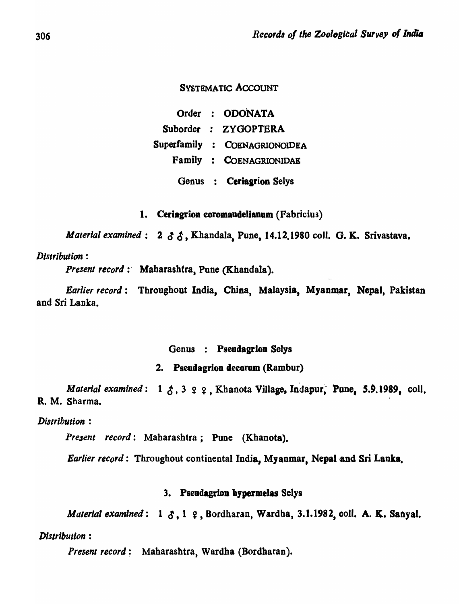# SYSTEMATIC ACCOUNT

Order : ODONATA Suborder : ZYGOPTERA Superfamily : COENAGRIONOIDEA Family : COENAGRIONIDAE Genus : Ceriagrion Selys

1. Ceriagrion coromandelianum (Fabricius)

*Material examined*: 2  $\delta$   $\delta$ , Khandala, Pune, 14.12.1980 coll. G. K. Srivastava.

### *Distribution :*

Present record : Maharashtra, Pune (Khandala).

*Earlier record*: Throughout India, China, Malaysia, Myanmar, Nepal, Pakistan and Sri Lanka.

# Genus : Pseudagrion Selys

# 2. Pseadagrion decorum (Rambur)

*Material examined*: 1  $\zeta$ , 3  $\varphi$   $\varphi$ , Khanota Village, Indapur, Pune, 5.9.1989, coll, R. M. Sharma.

*Distribution:* 

*Present record:* Mabarashtra; Pune (Khanota).

*Earlier record*: Throughout continental India, Myanmar, Nepal and Sri Lanka.

### 3. Pseudagrion bypermelas Selys

*Material examined*: 1  $\delta$ , 1  $\epsilon$ , Bordharan, Wardha, 3.1.1982, coll. A. K. Sanyal.

*Distribution :* 

Present record: Maharashtra, Wardha (Bordharan).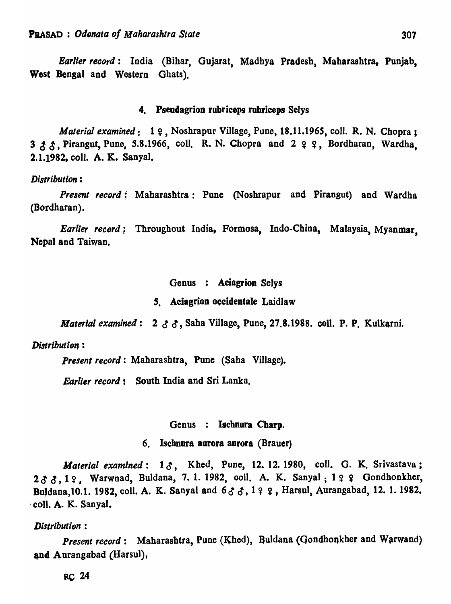*Earlier record:* India (Bihar, Gujarat, Madhya Pradesh, Maharashtra, Punjab, West Bengal and Western Ghats).

#### 4. Pseudagrion rubriceps rubriceps Selys

*Material examined*: 1 ?. Noshrapur Village, Pune, 18.11.1965, coll. R. N. Chopra ; 3 & ~, Pirangut, Pune, 5.8.1966, coil. R. N. Chopra and 2 ~ ~, Bordh~ran, Wardha, 2.1.1982, coli. A. K. Sanyal.

#### *Distribution:*

*Present record:* Maharashtra: Pune (Noshrapur and Pirangut) and Wardha (Bordharan).

*Earlier record*; Throughout India, Formosa, Indo-China, Malaysia, Myanmar, Nepal and Taiwan.

### Genus : Aciagrion Selys

### 5. Aciagrion occidentale Laidlaw

*Material examined:* 2  $3 \cdot 3$ , Saha Village, Pune, 27.8.1988. coll. P. P. Kulkarni.

#### *Distribution:*

*Present record:* Maharasbtra, Pune (Saba Village).

*Earlier record!* South India and Sri Lanka.

### Genus : Ischnura Charp.

#### 6. Ischnura aurora aurora (Brauer)

*Material examined*: 13, Khed, Pune, 12. 12. 1980, coll. G. K. Srivastava; 2 & 8, 1 ?, Warwnad, Buldana, 7. 1. 1982, coll. A. K. Sanyal; 1 ? ? Gondhonkher, Buldana, 10.1. 1982, coll. A. K. Sanyal and  $633, 122$ , Harsul, Aurangabad, 12. 1.1982. . coll. A. K. Sanyal.

#### *Distribution :*

*Present record*: Maharashtra, Pune (Khed), Buldana (Gondhonkher and Warwand) and Aurangabad (Harsul).

RC 24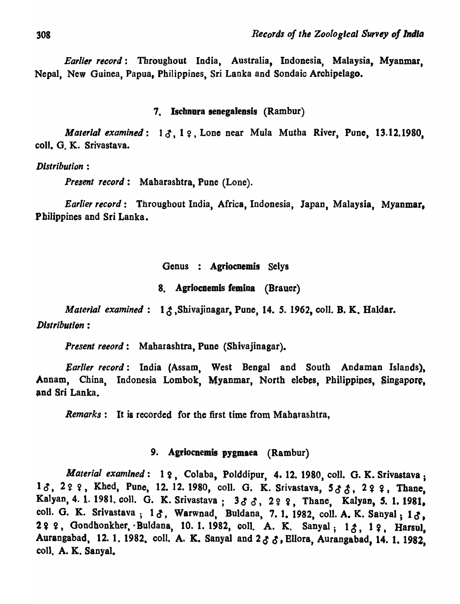*Earlier record:* Throughout India, Australia, Indonesia, Malaysia, Myanmar, Nepal, New Guinea, Papua, Philippines, Sri Lanka and Sondaic Archipelago.

#### 7. Ischnura senegalensis (Rambur)

*Material examined*:  $1 \delta$ ,  $1 \epsilon$ , Lone near Mula Mutha River, Pune, 13.12.1980, coli. G. K. Srivastava.

*Distribution :* 

*Present record:* Maharashtra, Pune (Lone).

*Earlier record:* Throughout India, Africa, Indonesia, Japan, Malaysia, Myanmar. Philippines and Sri Lanka.

Genus : Agriocnemis Selys

8. Agriocaemis femina (Brauer)

*Material examined*: 13, Shivajinagar, Pune, 14. 5. 1962, coll. B. K. Haldar. *Distribution:* 

Present reeord: Maharashtra, Pune (Shivajinagar).

*\$arlier record:* India (Assam, West Bengal and South Andaman Islands), Annam, China, Indonesia Lombok, Myanmar, North elebes, Philippines, Singapore, and Sri Lanka.

Remarks: It is recorded for the first time from Maharashtra,

# 9. Agriocnemis pygmaea (Rambur)

*Material examined*: 1  $\varphi$ , Colaba, Polddipur, 4. 12. 1980, coll. G. K. Srivastava; 13, 299, Khed, Pune, 12. 12. 1980, coll. G. K. Srivastava, 533, 299, Thane, Kalyan, 4. 1. 1981. coll. G. K. Srivastava; 333, 222, Thane, Kalyan, 5. 1. 1981, coll. G. K. Srivastava;  $1 \delta$ , Warwnad, Buldana, 7.1. 1982, coll. A. K. Sanyal;  $1 \delta$ , 2 ? ?, Gondhonkher, Buldana, 10. 1. 1982, coll. A. K. Sanyal; 13, 1 ?, Harsul, Aurangabad, 12. 1. 1982, coll. A. K. Sanyal and  $2 \delta \delta$ , Ellora, Aurangabad, 14. 1. 1982, coll. A. K. Sanyal.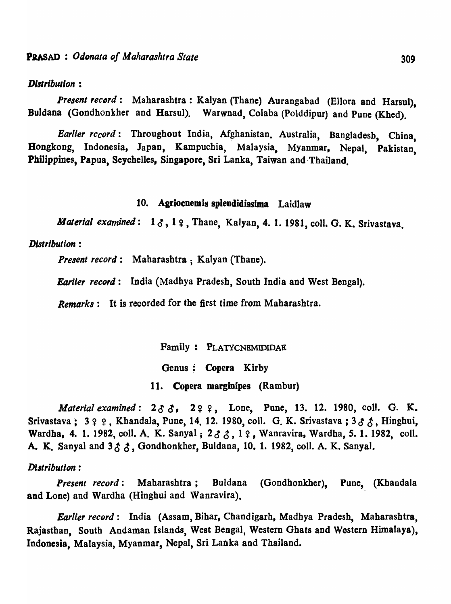### *Dlltributlon :*

*Present record:* Maharashtra: Kalyan (Thane) Aurangabad (Ellora and Harsul), Buldana (Gondhonkher and Harsul). Warwnad, Colaba (Polddipur) and Pune (Khed).

*Earlier record*: Throughout India, Afghanistan. Australia, Bangladesh, China. Hongkong, Indonesia, Japan, Kampuchia, Malaysia, Myanmar, Nepal, Pakistan, 309<br>
d (Ellora and Harsul),<br>
pur) and Pune (Khed).<br>
a, Bangladesh, China,<br>
mar, Nepal, Pakistan,<br>
hailand. Philippines, Papua, Seychelles, Singapore, Sri Lanka, Taiwan and Thailand.

# 10. Agriocnemis splendidissima Laidlaw

*Material examined*:  $1 \delta$ ,  $1 \Omega$ , Thane, Kalyan, 4. 1. 1981, coll. G. K. Srivastava.

#### *Distribution:*

*Present record:* Maharashtra; Kalyan (Thane).

*Eariler record:* India (Madhya Pradesh, South India and West Benga1).

*Remarks:* It is recorded for the first time from Maharashtra.

Family: PLATYCNEMIDIDAE

Genus; Copera Kirby

11. Copera marginipes (Rambur)

*Material examined:*  $2 \delta \delta$ ,  $2 \gamma \gamma$ , Lone, Pune, 13. 12. 1980, coll. G. K. Srivastava :  $399$ , Khandala, Pune, 14. 12. 1980, coll. G. K. Srivastava :  $333$ , Hinghui, Wardha, 4. 1. 1982, coll. A. K. Sanyal;  $2 \delta \delta$ , 19, Wanravira, Wardha, 5. 1. 1982, coll. A. K. Sanyal and  $3 \land \land$ , Gondhonkher, Buldana, 10. 1. 1982, coll. A. K. Sanyal.

#### *Dlltribulion :*

*Present record:* Maharashtra ; Buldana (Gondhonkher), Pune, (KhandaJa and Lone) and Wardha (Hingbui and Wanravira).

*Earlier record:* India (Assam, Bihar, Chandigarh, Madhya Pradesh, Maharashtra, Rajasthan, South Andaman Islands, West Bengal, Western Ghats and Western Himalaya), Indonesia, Malaysia, Myanmar, Nepal, Sri Lanka and Thailand.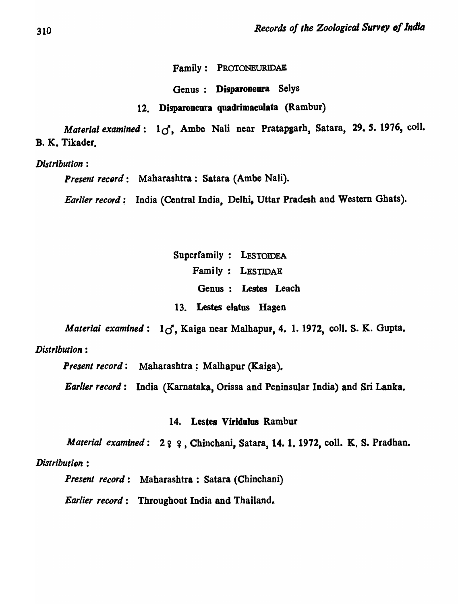Family: PROTONEURIDAE

Genus: Disparoneura Selys

12. Disparoneura quadrimaeulata (Rambur)

*Material examined*:  $1\sigma$ , Ambe Nali near Pratapgarh, Satara, 29. 5. 1976, coll. B. K. Tikader.

*Distribution:* 

Present record : Maharashtra : Satara (Ambe Nali).

*Earlier record;* India (Central India, Delhi, Uttar Pradesh and Western Ghats).

Superfamily: LESTOIDEA Family: LESTIDAE Genus: Lestes Leach 13. Lestes elatus Hagen

*Material examined*:  $1\sigma'$ , Kaiga near Malhapur, 4. 1. 1972, coll. S. K. Gupta.

*Distribution:* 

*Present record:* Maharashtra; Malhapur (Kaiga).

*Earlier record* : India (Karnataka, Orissa and Peninsular India) and Sri Lanka.

### 14. Lestes Viridulos Rambur

*Material examined*: 2  $9$   $9$ , Chinchani, Satara, 14. 1. 1972, coll. K. S. Pradhan.

# Distribution :

*Present record:* Maharashtra: Satara (Chinchani)

*Earlier record*: Throughout India and Thailand.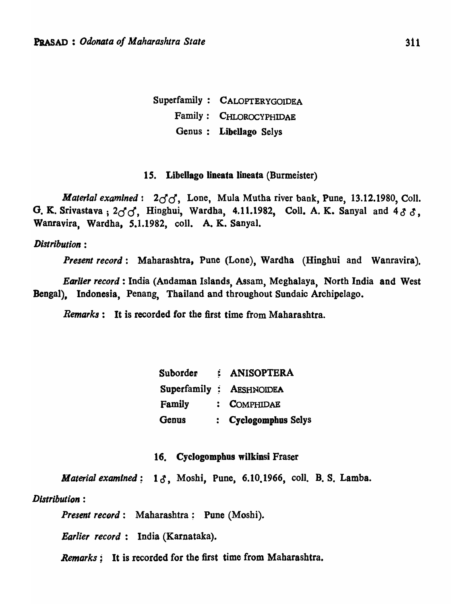Superfamily: CALOPTERYGOIDEA Family: CHLOROCYPHIDAE Genus: Libellago Selys

#### *IS.* LibeUago lineata lineata (Burmeister)

*Material examined*:  $2\sigma\sigma$ , Lone, Mula Mutha river bank, Pune, 13.12.1980, Coll. G. K. Srivastava;  $2d$ , Hinghui, Wardha, 4.11.1982, Coll. A. K. Sanyal and  $433$ , Wanravira, Wardha, *S.I.1982,* coli. A. K. Sanyal.

### *Distribution :*

*Present record:* Maharashtra, Pune (Lone), Wardha (Hingbui and Wanravira).

*Earlier record:* India (Andaman Islands, Assam, Megbalaya, North India and West Bengal), Indonesia, Penang, Thailand and throughout Sundaic Archipelago.

*Remarks:* It is recorded for the first time from Maharashtra.

| Suborder | : ANISOPTERA             |
|----------|--------------------------|
|          | Superfamily : AESHNOIDEA |
| Family   | : COMPHIDAE              |
| Genus    | : Cyclogomphus Selys     |

### 16. Cyclogomphus wilkinsi Fraser

*Material examined*: 13, Moshi, Pune, 6.10.1966, coll. B. S. Lamba.

# *Distribution :*

*Present record:* Maharashtra; Pune (Moshi).

*Earlier record:* India (Karnataka).

*Remarks;* It is recorded for the first time from Maharashtra.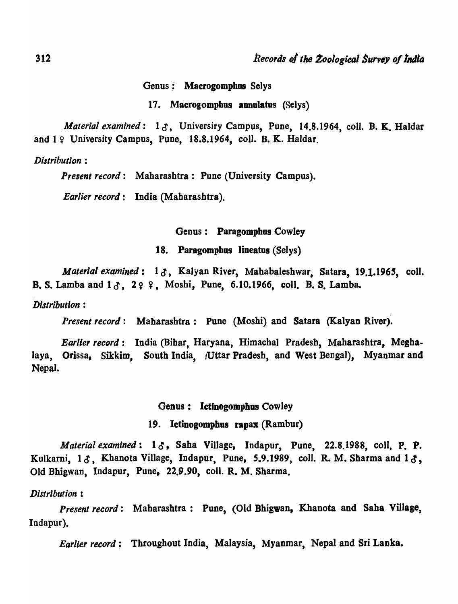Genus: Macrogomphus SeJys

17. Macrogomphus annulatus (Selys)

*Material examined:* 10 , Universiry Campus, Pune, 14.8.1964, coli. B. K. Haldar and  $1 \nsubseteq$  University Campus, Pune, 18.8.1964, coll. B. K. Haldar.

*Distribution :* 

*Present record:* Maharashtra: Pune (University Campus).

*Earlier record:* India (Maharashtra).

Genus: Paragomphus Cowley

18. Paragomphus lineatus (Selys)

*Material examined*: 13, Kalyan River, Mahabaleshwar, Satara, 19.1.1965, coll. B. S. Lamba and  $1 \delta$ ,  $29$   $9$ , Moshi, Pune, 6.10.1966, coll. B. S. Lamba.

*Distribution :* 

*Present record:* Maharashtra: Pune (Mosbi) and Satara (Kalyan River).

*Earlier record:* India (Bihar, Haryana, Himachal Pradesh, Mabarashtra, Meghalaya, Orissa, Sikkim, South India, (Uttar Pradesh, and West Bengal), Myanmar and Nepal.

#### Genus: Ictinogomphus Cowley

### 19. Ictinogomphus rapax (Rambur)

*Material examined*:  $1\delta$ , Saha Village, Indapur, Pune, 22.8.1988, coll. P. P. Kulkarni,  $1 \delta$ , Khanota Village, Indapur, Pune, 5.9.1989, coll. R. M. Sharma and  $1 \delta$ , Old Bhigwan, Indapur, Pune, 22.9.90, coil. R. M. Sharma.

### *Distribution s*

*Present record:* Maharashtra: Pune, (Old Bhigwan, Khanota and Saha Village, Indapur).

*Earlier record;* Throughout India, Malaysia, Myanmar, Nepal and Sri Lanka.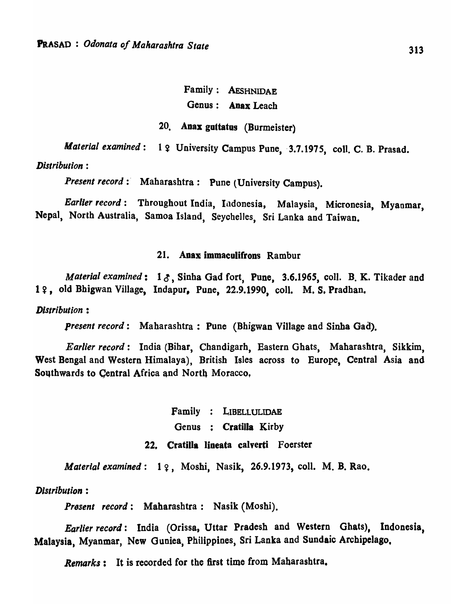# Family: AESHNIDAE Genus: Anax Leach

# 20. Anax guitatus (Burmeister)

*Material examined*: 1  $\varphi$  University Campus Pune, 3.7.1975, coll. C. B. Prasad.

# *Distribution :*

*Present record* : Maharashtra : Pune (University Campus).

*Earlier record:* Throughout India, Indonesia, Malaysia, Micronesia, Myanmar, Nepal, North Australia, Samoa Island, Seychelles, Sri Lanka and Taiwan.

# 21. Anax immaculifrons Rambur

*Material examined*:  $1 \delta$ , Sinha Gad fort, Pune, 3.6.1965, coll. B. K. Tikader and 1º, old Bhigwan Village, Indapur, Pune, 22.9.1990, coll. M. S. Pradhan.

### *Distribution :*

*Present record:* Maharashtra: Pune (Bhigwan Village and Sinha Gad).

*Earlier record:* India (Bihar, Chandigarh, Eastern Ghats, Maharashtra, Sikkim, West Bengal and Western Himalaya), British Isles across to Europe, Central Asia and Southwards to Central Africa and North Moracco.

> Family LIBELLULIDAE Genus : Cratilla Kirby 22. Cratilla lineata calverti Foerster

*Material examined*: 19, Moshi, Nasik, 26.9.1973, coll. M. B. Rao.

### *Distribution:*

*Present record:* Maharashtra: Nasik (Moshi).

*Earlier record:* India (Orissa, Uttar Pradesh and Western Ghats), Indonesia. Malaysia, Myanmar, New Guniea, Philippines, Sri Lanka and Sundaic Archipelago,

*Remarks:* It is recorded for the first time from Maharashtra.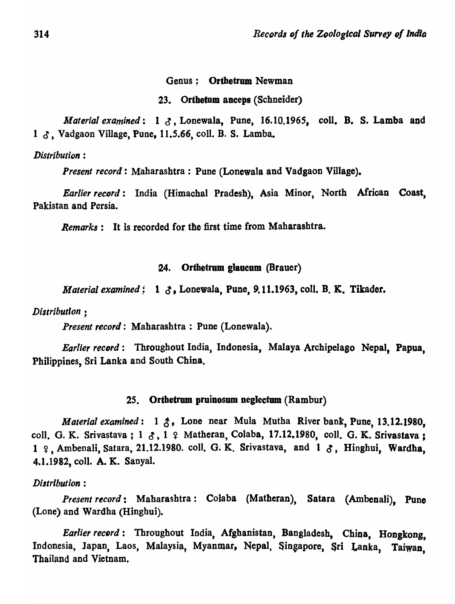### Genus; Orthetrum Newman

### 23. Orthetum aneeps (Schneider)

*Material examined*: 1 3, Lonewala, Pune, 16.10.1965, coll, B. S. Lamba and 1  $\delta$ , Vadgaon Village, Pune, 11.5.66, coll. B. S. Lamba.

*Distribution :* 

*Present record:* Maharashtra: Pune (Lonewala and Vadgaon Village).

*Earlier record:* India (Himachal Pradesh), Asia Minor, North African Coast, Pakistan and Persia.

*Remarks:* It is recorded for the first time from Maharashtra.

### 24. Orthetrum glaucum (Brauer)

*Material examined*: 1  $\delta$ , Lonewala, Pune, 9.11.1963, coll. B. K. Tikader.

*Distribution;* 

*Present record:* Maharashtra: Pune (Lonewala).

*Earlier record:* Throughout India, Indonesia, Malaya Archipelago Nepal, Papua, Philippines, Sri Lanka and South China.

#### 25. Orthetrum pruinosum neglectum (Rambur)

*Material examined* : 1  $\zeta$ , Lone near Mula Mutha River bank, Pune, 13.12.1980, coll. G. K. Srivastava;  $1 \, \mathcal{S}$ ,  $1 \, \varphi$  Matheran, Colaba, 17.12.1980, coll. G. K. Srivastava;  $1$   $2$ , Ambenali, Satara, 21.12.1980. coll. G. K. Srivastava, and  $1$   $3$ , Hinghui, Wardha, 4.1.1982, colI. A. K. Sanyal.

### $Distribution:$

*Present record:* Maharashtra: Colaba (Matheran), Satara (Ambenali), Pune (Lone) and Wardha (Hingbui).

*Earlier record*: Throughout India, Afghanistan, Bangladesh, China, Hongkong, Indonesia, Japan, Laos, Malaysia, Myanmar, Nepal, Singapore, Sri Lanka, Taiwan, Thailand and Vietnam,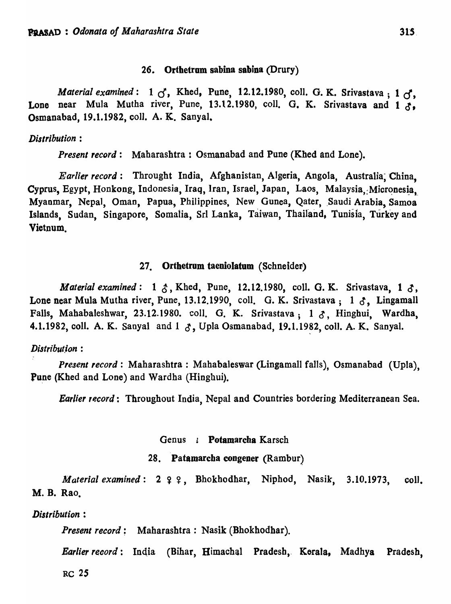### 26. Orthetrum sabina sabina (Drury)

*Material examined*: 1  $\sigma$ , Khed, Pune, 12.12.1980, coll. G. K. Srivastava; 1  $\sigma$ , Lone near Mula Mutha river, Pune, 13.12.1980, coll. G. K. Srivastava and  $1\delta$ , Osmanabad, 19.1.1982, colI. A. K.. Sanyal.

### *Distribution:*

*Present record:* Maharashtra: Osmanabad and Pune (Khed and Lone).

*Earlier record:* Throught India, Afghanistan, Algeria, Angola, Australia; 'China, Cyprus, Egypt, Honkong, Indonesia, Iraq, Iran, Israel, Japan, Laos, Malaysia, Micronesia. Myanmar, Nepal, Oman, Papua, Philippines, New Gunea, Qater, Saudi Arabia, Samoa Islands, Sudan, Singapore, Somalia, SrI Lanka, Taiwan, Thailand, Tunisia, Turkey and Vietnum.

### 27. Orthetrum taeniolatum (Schneider)

*Material examined*: 1  $\delta$ , Khed, Pune, 12.12.1980, coll. G. K. Srivastava, 1  $\delta$ , Lone near Mula Mutha river, Pune, 13.12.1990, coll. G. K. Srivastava;  $1 \delta$ , Lingamall Falls, Mahabaleshwar, 23.12.1980. coll. G. K. Srivastava;  $1 \delta$ . Hinghui, Wardha, 4.1.1982, coll. A. K. Sanyal and  $1 \text{ } \mathcal{S}$ , Upla Osmanabad, 19.1.1982, coll. A. K. Sanyal.

### *Distribut.ion :*

*Present record:* Maharashtra: Mahabaleswar (Lingamall falls), Osmanabad (Upla), pune (Khed and Lone) and Wardha (Hinghui).

*Earlier record*: Throughout India, Nepal and Countries bordering Mediterranean Sea.

#### Genus : Potamarcha Karsch

### 28. Patamarcba congener (Rambur)

*Material examined*: 2 ? ?, Bhokhodhar, Niphod, Nasik, 3.10.1973, coll. M. B. Rao.

*Distribution:* 

*Present record:* Maharashtra: Nasik (Bhokhodhar).

*Earlier record:* India (Bihar, Himachal Pradesh, Korala, Madhya Pradesh,

RC *2S*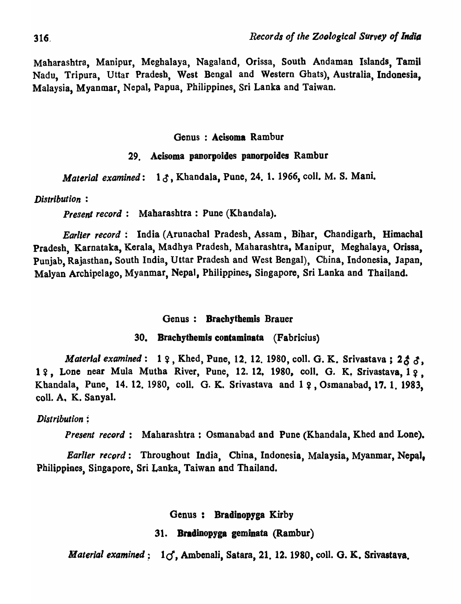Maharashtra, Manipur, Meghalaya, Nagaland, Orissa, South Andaman Islands, Tamil Nadu, Tripura, Uttar Pradesh, West Bengal and Western Ghats), Australia, Indonesia, Malaysia, Myanmar, Nepal, Papua, Philippines, *Sri* Lanka and Taiwan.

# Genus : Acisoma Rambur

# 29. Acisoma panorpoides panorpoides Rambur

*Material examined*: 13, Khandala, Pune, 24. 1. 1966, coll. M. S. Mani.

### *Distribution :*

*Present record:* Maharashtra: Pune (Khandala).

*Earller record:* India (Arunachal Pradesh, Assam, Bihar, Chandigarh, Himachal Pradesh, Karnataka, Kerala, Madhya Pradesh, Maharashtra, Manipur, Meghalaya, Orissa, Punjab, Rajasthan, South India, Uttar Pradesh and West Bengal), China, Indonesia, Japan, Matyan Archipelago, Myanmar, Nepal, Philippines, Singapore, Sri Lanka and Thailand.

### Genus: Bracbytbemis Brauer

### 30. Brachythemis coataminata (Fabricius)

*Material examined*: 1  $9$ , Khed, Pune, 12, 12, 1980, coll. G. K. Srivastava; 2  $6/6$ , 1?, Lone near Mula Mutha River, Pune, 12. 12. 1980, coll. G. K. Srivastava, 1?. Khandala, Pune, 14. 12. 1980, coll. G. K. Srivastava and 1  $\varphi$ , Osmanabad, 17. 1. 1983, colI. A. K. Sanyal.

### *Distribution;*

*Present record*: Maharashtra: Osmanabad and Pune (Khandala, Khed and Lone).

*Earlier record*: Throughout India, China, Indonesia, Malaysia, Myanmar, Nepal, Philippines, Singapore, Sri Lanka, Taiwan and Thailand.

Genus: Bradinopyga Kirby

# 31. Bradinopyga geminata (Rambur)

*Material examined* :  $1\sigma$ , Ambenali, Satara, 21, 12. 1980, coll. G. K. Srivastava.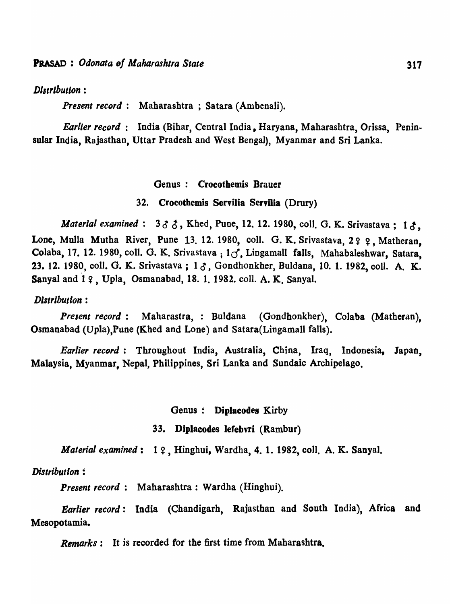# $Distribution:$

*Present record:* Maharashtra; Satara (Ambenali).

*Earlier record:* India (Bihar, Central India, Haryana, Maharashtra, Orissa, Peninsular India, Rajasthan, Uttar Pradesh and West Bengal), Myanmar and Sri Lanka.

#### Genus: Crocothemis Brauer

32. Crocothemis Servilia Servilia (Drury)

*Material examined*:  $3 \delta \hat{\delta}$ , Khed, Pune, 12. 12. 1980, coll. G. K. Srivastava; 1  $\delta$ , Lone, Mulla Mutha River, Pune 13, 12. 1980, coll. G. K. Srivastava,  $2 \frac{9}{7}$ , Matheran, Colaba, 17. 12. 1980, coll. G. K. Srivastava;  $1\sigma$ , Lingamall falls, Mahabaleshwar, Satara, 23. 12. 1980, coll. G. K. Srivastava; 1 3, Gondhonkher, Buldana, 10. 1. 1982, coll. A. K. Sanyal and 19, Upla, Osmanabad, 18. 1. 1982. coll. A. K. Sanyal.

#### *Distribution :*

*Present record:* Maharastra,: Buldana (Gondhonkher), Colaba (Matheran), Osmanabad (Upla),Pune (Khed and Lone) and Satara(Lingamall falls).

*Earlier record* : Throughout India, Australia, China, Iraq, Indonesia, Japan, Malaysia, Myanmar, Nepal, Philippines, Sri Lanka and Sundaic Archipelago.

#### Genus: Diplacodes Kirby

#### 33. DipJacodes lefebvri (Rambur)

*Material examined*: 19, Hinghui, Wardha, 4, 1. 1982, coll. A. K. Sanyal.

### *Distribution:*

*Present record:* Maharashtra: Wardha (Hingbui).

*Earlier record:* India (Chandigarh, Rajasthan and South India), Africa and Mesopotamia.

*Remarks*: It is recorded for the first time from Maharashtra.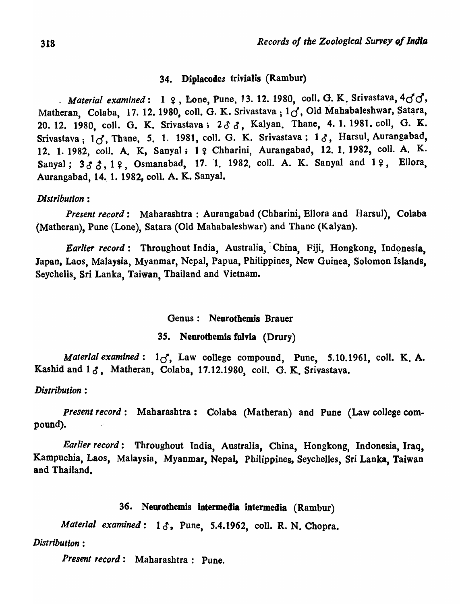### 34. Diplacodes trivialis (Rambur)

*Material examined*: 1  $9$ , Lone, Pune, 13. 12. 1980, coll. G. K. Srivastava,  $4d^{3}$ . Matheran, Colaba, 17. 12. 1980, coll. G. K. Srivastava; 16, Old Mahabaleshwar, Satara, 20. 12. 1980, coll. G. K. Srivastava; 233, Kalyan. Thane, 4. 1. 1981. coll, G. K. Srivastava; 1 *d,* Thane, S. 1. 1981, colI. G. K. Srivastava; 1*0 ,* Harsul, Aurangabad, 12. 1. 1982, coll. A. K, Sanyal; 1 º Chharini, Aurangabad, 12. 1. 1982, coll. A. K. Sanyal;  $3 \delta \delta$ ,  $1 \Omega$ , Osmanabad, 17. 1. 1982, coll. A. K. Sanyal and  $1 \Omega$ , Ellora, Aurangabad, 14. 1. 1982, coll. A. K. Sanyal.

### *Distribution:*

*Present record:* Maharashtra: Aurangabad (Chharini, Ellora and Harsul), Colaba (Matheran), Pune (Lone), Satara (Old Mahabaleshwar) and Thane (Kalyan).

*Earlier record:* Throughout India, Australia, China, Fiji, Hongkong, Indonesia, Japan, Laos, Malaysia, Myanmar, Nepal, Papua, Philippines, New Guinea, Solomon Islands, Seychelis, Sri Lanka, Taiwan, Thailand and Vietnam.

### Genus: Neurothemis Brauer

### *3S.* Neurothemis fulvia (Drury)

*Material examined:*  $1_{\text{C}}$ , Law college compound, Pune, 5.10.1961, coll. K. A. Kashid and  $1 \delta$ , Matheran, Colaba, 17.12.1980, coll. G. K. Srivastava.

### *Distribution :*

*present record:* Maharasbtra: Colaba (Matheran) and Pune (Law college compound).

*Earlier record:* Throughout India, Australia, China, Hongkong, Indonesia, Iraq, Kampuchia, Laos, Malaysia, Myanmar, Nepal, Philippines, Seychelles, Sri Lanka, Taiwan and Thailand.

### 36. Neurothemis intermedia intermedia (Rambur)

*Material examined:* 10, Pune, 5.4.1962, coli. R. N. Chopra.

### *Dist ributlon :*

*Present record:* Maharashtra: Pune.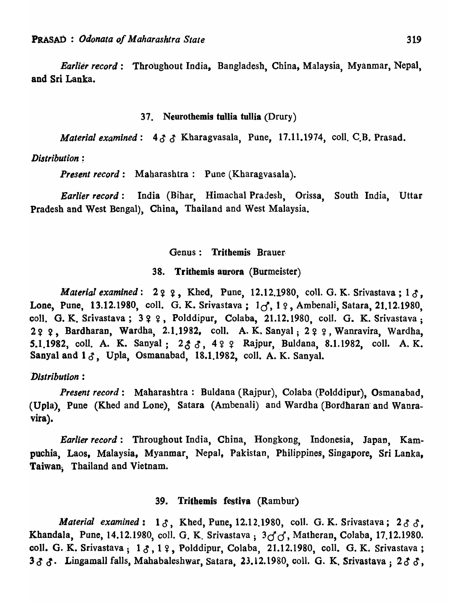*Earlier record:* 'Throughout India, Bangladesh, China, Malaysia, Myanmar, Nepal, and Sri Lanka.

### 37. Neurothemis tullia tullia (Drury)

*Material examined:*  $4 \delta \delta$  Kharagvasala, Pune, 17.11.1974, coll. C.B. Prasad.

### *Distribution ;*

*Present record:* Maharashtra: Pune (Kharagvasala).

*Earlier record:* India (Bihar, Himachal Pradesh, Orissa, South India, Uttar Pradesh and West Bengal), China, Thailand and West Malaysia.

#### Genus: Trithemis Brauer·

### 38. Trithemis aurora (Burmeister)

*Material examined*:  $2q q$ , Khed, Pune, 12.12.1980, coll. G. K. Srivastava;  $1 \delta$ , Lone, Pune, 13.12.1980, coll. G. K. Srivastava;  $1\sigma$ ,  $1\Omega$ , Ambenali, Satara, 21.12.1980, coll. G. K. Srivastava;  $3 \,$   $\circ$   $\circ$ , Polddipur, Colaba, 21.12.1980, coll. G. K. Srivastava; 22 2, Bardharan, Wardha, 2.1.1982, coll. A. K. Sanyal; 22 2, Wanravira, Wardha, 5.1.1982, coll. A. K. Sanyal; 233, 422 Rajpur, Buldana, 8.1.1982, coll. A. K. Sanyal and  $1 \delta$ , Upla, Osmanabad, 18.1.1982, coll. A. K. Sanyal.

### *Distribution :*

*Present record:* Maharashtra: Buldana (Rajpur), Colaba (Polddipur), Osmanabad, (Upla), Pune (Khed and Lone), Satara (Ambenali) and Wardha (Bordharan' and Wanravira).

*Earlier record:* Throughout India, China, Hongkong, Indonesia, Japan, Kampuchia, Laos, Malaysia, Myanmar, NepaJ, Pakistan, Philippines, Singapore, Sri Lanka, Taiwan; Thailand and Vietnam.

# 39. Trithemis festiva (Rambur)

*Material examined*:  $1 \delta$ , Khed, Pune, 12.12.1980, coll. G. K. Srivastava;  $2 \delta \delta$ . Khandala, Pune, 14.12.1980, coll. G. K. Srivastava; 3dd, Matheran, Colaba, 17.12.1980. coll. G. K. Srivastava;  $1 \delta$ ,  $1 \Omega$ , Polddipur, Colaba, 21.12.1980, coll. G. K. Srivastava; 333. Lingamall falls, Mahabaleshwar, Satara, 23.12.1980, coll. G. K. Srivastava; 233,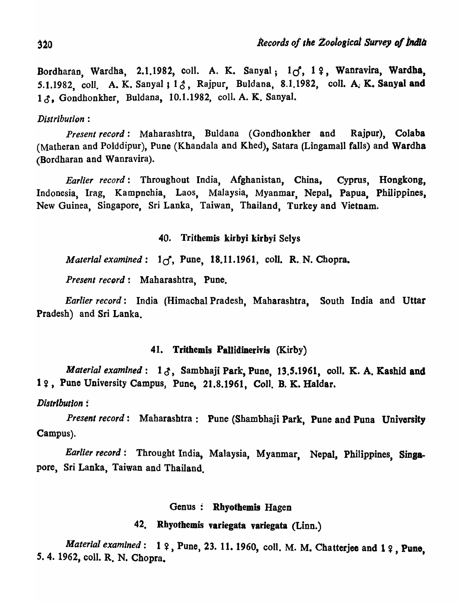Bordharan, Wardha, 2.1.1982, coll. A. K. Sanyal;  $1\sigma$ , 19, Wanravira, Wardha, 5.1.1982, coll. A. K. Sanyal ;  $1 \delta$ , Rajpur, Buldana, 8.1.1982, coll. A. K. Sanyal and 13, Gondhonkher, Buldana, 10.1.1982, coll. A. K. Sanyal.

# *Distribution:*

*Present record:* Maharashtra, Buldana (Gondhonkher and Rajpur), Colaba (Matheran and Polddipur), Pune (Khandala and Khed), Satara (Lingamall falls) and Wardha (Bordharan and Wanravira).

*Earlier record:* Throughout India, Afghanistan, China, Cyprus, Hongkong, Indonesia, Irag, Kampnchia, Laos, Malaysia, Myanmar, Nepal, Papua, Philippines, New Guinea, Singapore, Sri Lanka, Taiwan, Thailand, Turkey and Vietnam.

40. Trithemis kirbyi kirbyi Selys

*Material examined:*  $1\sigma$ , Pune, 18.11.1961, coll. R. N. Chopra.

*Present record:* Maharashtra, Pune.

*Earlier record:* India (Himachal Pradesh, Maharashtra, South India and Uttar Pradesh) and Sri Lanka.

# 41. Trithemis Pallidinerivis (Kirby)

*Material examined*: 13, Sambhaji Park, Pune, 13.5.1961, coll. K. A. Kashid and 19, Pune University Campus, Pune, 21.8.1961, Coll. B. K. Haldar.

*Distribution :* 

*Present record:* Maharashtra: Pune (Shambhaji Park, Pune and Puna University Campus).

*Earlier record:* Throught India, Malaysia, Myanmar, Nepal, Philippines, Singapore, Sri Lanka, Taiwan and Thailand.

# Genus: Rhyothemis Hagen

# 42. Rhyothemis variegata variegata (Linn.)

*Material examined*: 1  $\varphi$ , Pune, 23. 11. 1960, coll. M. M. Chatterjee and 1  $\varphi$ , Pune, *S.* 4. 1962, coli. R. N. Chopra.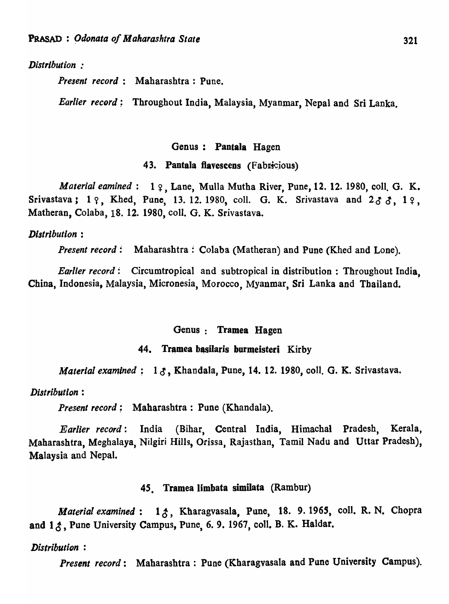### *Distribution :*

*Present record:* Maharashtra: Pune.

*Earlier record*: Throughout India, Malaysia, Myanmar, Nepal and Sri Lanka.

#### Genus: Pantala Hagen

### 43. Pantala flavescens (Fabricious)

*Material eamined*: 1  $\varphi$ , Lane, Mulla Mutha River, Pune, 12. 12. 1980, coll. G. K. Srivastava;  $1 \, \gamma$ , Khed, Pune, 13. 12. 1980, coll. G. K. Srivastava and  $2 \, \delta \, \delta$ ,  $1 \, \gamma$ , Matheran, Colaba, 18. 12. 1980, colI. G. K. Srivastava.

### *Distribution :*

*Present record:* Maharashtra: Colaba (Matheran) and Pune (Khed and Lone).

*Earlier record:* Circumtropical and subtropical in distribution : Throughout India, China, Indonesia, Malaysia, Micronesia, Morocco, Myanmar, Sri Lanka and Thailand.

#### Genus: Tramea Hagen

### 44. Tramea basilaris burmeisteri Kirby

*Material examined*: 13, Khandala, Pune, 14. 12. 1980, coll. G. K. Srivastava.

### *Distribution:*

*Present record;* Maharashtra: Pune (Khandala).

*Earlier record:* India (Bihar, Central India, Himachal Pradesh, Kerala, Maharashtra, Meghalaya, Nilgiri Hills, Orissa, Rajasthan, Tamil Nadu and Uttar Pradesh), Malaysia and Nepal.

### 45. Tramea limbata similata (Rambur)

*Material examined*: 13, Kharagvasala, Pune, 18. 9. 1965, coll. R. N. Chopra and  $1 \xi$ , Pune University Campus, Pune, 6. 9. 1967, coll. B. K. Haldar.

### *Distribution :*

*Present record:* Maharashtra: Pune (Kharagvasala and Pune University Campus).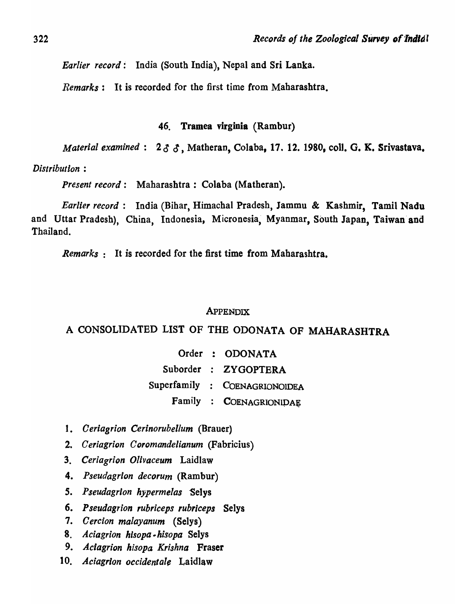*Earlier record:* India (South India), Nepal and Sri Lanka.

*Remarks:* It is recorded for the first time from Maharashtra.

# 46. Tramea virginia (Rambur)

*Material examined*:  $2 \delta \delta$ , Matheran, Colaba, 17. 12. 1980, coll. G. K. Srivastava.

*Distribution :* 

*Present record:* Maharashtra: Colaba (Matheran).

*Earlier record:* India (Bihar, Himachal Pradesh, Jammu & Kashmir, Tamil Nadu and Uttar Pradesh), China, Indonesia, Micronesia, Myanmar, South Japan, Taiwan and Thailand.

*Remarks:* It is recorded for the first time from Maharashtra.

#### **APPENDIX**

# A CONSOLIDATED LIST OF THE ODONATA OF MAHARASHTRA

|  | Order : ODONATA               |
|--|-------------------------------|
|  | Suborder : ZYGOPTERA          |
|  | Superfamily : COENAGRIONOIDEA |
|  | Family : COENAGRIONIDAE       |

- 1. *Oeriagrion Cerinorubellum* (Brauer)
- *2. Ceriagrion Coromandelianum* (Fabricius)
- *3. Ceriagrion O/ivaceum* Laidlaw
- *4. Pseudagrion decorum* (Rambur)
- *S. Pseudagrion hypermelas* "Selys
- 6. *P seudagrion Tubriceps rubrlceps* Selys
- *7. Cercion malayanum* (Selys)
- 8. *Aciagrion hisopa .hisopa* Selys
- 9. *Aciagrion hisopa Krishna* Fraser
- 10. *Aciagrion occidentale* Laidlaw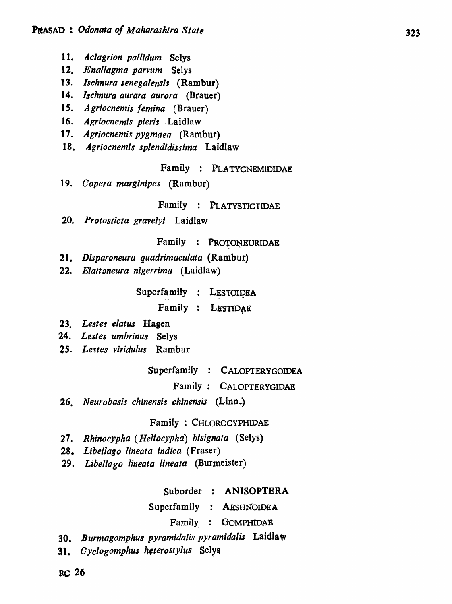- 11. *Aclagrion pallidum* Selys
- *12. Enallagma parvum* Selys
- t 3. *lschnura senega/ensis* (Rambur)
- 14. *Ischnura aurara aurora* (Brauer)
- 15. Agriocnemis femina (Brauer)
- 16. *Agriocnemis pieris* .Laidlaw
- *17. Agriocnemis pygmaea* (Rambur)
- *18. Agriocnemis splendidissima* Laidlaw

# Family : PLATYCNEMIDIDAE

19. *Copera marginipes* (Rambur)

# Family : PLATYSTICrIDAE

*20. Protosticta gravelyi* Laidlaw

# Family : PROTONEURIDAE

- *21. Disparoneura quadrimaculata* (Rambur)
- 22. Elattoneura nigerrima (Laidlaw)

Superfamily : LESTOIDEA

Family : LESTIDAE

- *23. Lestes elatus* Hagen
- *24. Lestes umbrinus* Selys
- *2S. Lestes viridulus* Rambur

Superfamily : CALOPIERYGOIDEA

Family: CALOPTERYGIDAE

*26. Neurobasis chinensis chinensis* (Linn.)

### Family : CHLOROCYPHIDAE

- *27. Rhinocypha (He/iocypha) bisignata* (Selys)
- *28. Libel/ago lineata indica* (Fraser)
- *29. Libel/ago Uneata IIneata* (Burmeister)

# Suborder : ANISOPTERA

Superfamily : AESHNOIDEA

### Family : GOMPHIDAE

- *30. Burmagomphus pyramidalis pyramidalis* Laidlaw
- *31. Oyclogomphus heterostylus* Selys

ac <sup>26</sup>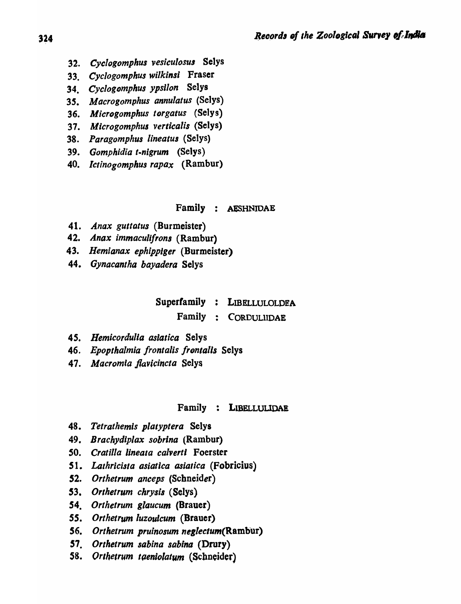- *32. Cyclogomphus vesiculosua* Selys
- *33. Cyclogomphus wilkinsi* Fraser
- 34. Cyclogomphus ypsilon Selys
- *35. Macrogomphus annulatus* (Selys)
- 36. Microgomphus torgatus *(Selys)*
- *37. Microgomphul verticalis* (Selys)
- *38. Paragomphus lineatus* (Selys)
- *39. Gomphidia t-nigrum* (Selys)
- *40. lctinogomphus rapax* (Rambur)

#### Family : AESHNIDAE

- 41. *Anax guttatus* (Burmeister)
- 42. Anax immaculifrons (Rambur)
- *43. Hemianax ephipplger* (Burmeister)
- *44. Gynacantha bayadera* Selys

# Superfamily : LIBELLULOLDEA

Family : CORDULllDAE

- *45. Hemicordulia asiatica* Selys
- 46. Epopthalmia frontalis frontalis Selys
- *47. Macromta jlavicincta* Selys

### Family : LIBELLULlDAE

- *48. Tetrathemis platyptera* Selys
- *49. Brachydiplax sobrlna* (Rambur)
- *SO. eratilla Iineala calvertl* Foerster
- *S* 1. *Lalhricisla asiatica asiatica* (Fobricius)
- *52. Orthetrum anceps* (Schneider)
- *53. Orthetrum chrysis* (Selys)
- *54. Orthetrum glaucum* (Brauer)
- 55. Orthetrum luzoulcum *(Brauer)*
- *56. Orthetrum pruinosum neglectum(Rambur)*
- 57. Orthetrum sabina sabina (Drury)
- 58. Orthetrum taeniolatum (Schneider)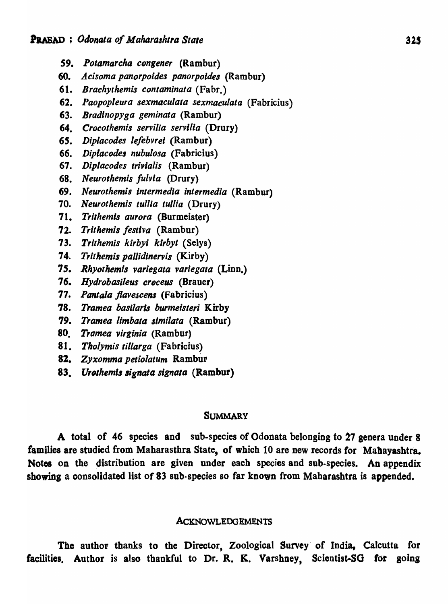- 59. Potamarcha congener *(Rambur)*
- *60. Aeisoma panorpoides panorpoidea* (Rambur)
- 61. *Brachythemis eontaminata* (Fabr.)
- *62. Paopopleura sexmaeulata sexmaeulata* (Fabricius)
- *63. Bradinopyga geminata* (Rambur)
- *64. Crocothemis servilia servilia* (Drury)
- *65. Diplaeodes lefebvrei* (Rambur)
- 66. *Dipiaeodea nubulosa* (Fabricius)
- 67. Diplacodes trivialis (Rambur)
- *68. Neurothemis fulvla* (Drury)
- 69. *Neurothemis intermedia intermedia* (Rambur)
- *70. Neurothemis tullia tullia* (Drury)
- 71. *Trithemls aurora* (Burmeister)
- *72. Trithemis festlva* (Rambur)
- *73. Trithemis kirbyi kirbyt* (Selys)
- *74. Trithemis pal/idinervis* (Kirby)
- *75. Rhyothemis variegata variegata* (Linn.)
- *76. Hydrobasileus croeeus* (Brauer)
- *77. Pantala flavescens* (Fabricius)
- 78. Tramea basilaris burmeisteri Kirby
- 79. Tramea limbata similata (Rambur)
- *80. Tramea virginia* (Rambur)
- *81. Tho/ymis tillarga* (Fabricius)
- 8Z. *Zyxomma petio/alum* Rambur
- 83. Urothemis signata signata *(Rambur)*

#### **SUMMARY**

A total of 46 species and sub-species of Odonata belonging to 27 genera under 8 families are studied from Maharasthra State, of which 10 are new records for 'Mahayashtra. Notes on the distribution are given under each species and sub-species. An appendix showing a consolidated list of 83 sub-species so far known from Maharashtra is appended.

#### **ACKNOWLEDGEMENTS**

The author thanks to the Director, Zoological Survey' of India, Calcutta for facilities. Author is also thankful to Dr. R. K. Varshney. Scientist-SG for going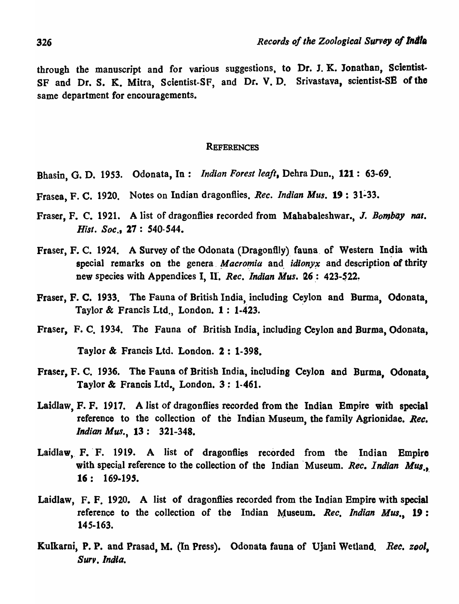through the manuscript and for various suggestions, to Dr. J. K. Jonathan, Scientist. SF and Dr. S. K. Mitra, Scientist-SF, and Dr. V. D. Srivastava, scientist-SE of the same department for encouragements.

### **REFERENCES**

- Bhasin, G. D. 1953. Odonata, In: *Indian Forest leaft.* Debra Dun., 121: 63-69.
- Frasea, F. C. 1920. Notes on Indian dragonflies. *Rec. Indian Mus.* 19: 31~33.
- Fraser, F. C. 1921. A list of dragonflies recorded from Mahabaleshwar., J. *Bombay nat. Hisi. Soc.,* 27 : 540-544.
- Fraser, F. C. 1924. A Survey of the Odonata (Dragonflly) fauna of Western India with special remarks on the genera *Macromia* and *idionyx* and description of thrity new species with Appendices I, II. *Rec. Indian Mus.* 26: 423-522.
- Fraser, F. C. 1933. The Fauna of British India, including Ceylon and Burma, Odonata, Taylor & Francis Ltd., London. 1: 1·423.
- Fraser, F. C. 1934. The Fauna of British India, including Ceylon and Burma, Odonata, Taylor & Francis Ltd. London. 2: 1-398.
- Fraser, F. C. 1936. The Fauna of British India, including Ceylon and Burma, Odonata, Taylor & Francis Ltd., London. 3: 1-461.
- Laidlaw, F. F. 1917. A list of dragonflies recorded from the Indian Empire with special reference to the collection of the Indian Museum, the family Agrionidae. *Ree. Indian Mus.*, 13: 321-348.
- Laidlaw, F. F. 1919. A list of dragonflies recorded from the Indian Empire with special reference to the collection of the Indian Museum. *Rec. Indian Mus.* 16: 169-195.
- Laidlaw, F. F. 1920. A list of dragonflies recorded from the Indian Empire with special reference to the collection of the Indian Museum. *Rec. Indian Mus.,* 19: 145-163.
- Kulkarni, P. P. and Prasad, M. (In Press). Odonata fauna of Ujani Wetland. *Rec. zool*, *Surv. India.*